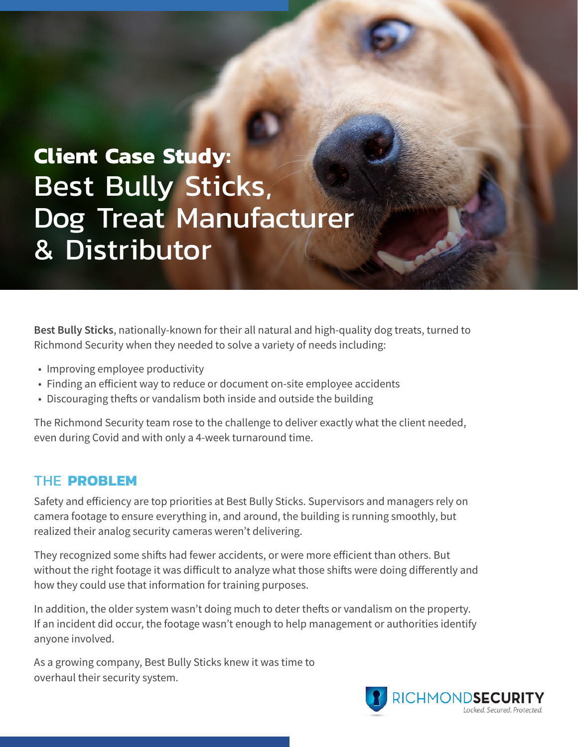# **Client Case Study:** Best Bully Sticks, Dog Treat Manufacturer & Distributor

**Best Bully Sticks**, nationally-known for their all natural and high-quality dog treats, turned to Richmond Security when they needed to solve a variety of needs including:

- Improving employee productivity
- Finding an efficient way to reduce or document on-site employee accidents
- Discouraging thefts or vandalism both inside and outside the building

The Richmond Security team rose to the challenge to deliver exactly what the client needed, even during Covid and with only a 4-week turnaround time.

#### THE **PROBLEM**

Safety and efficiency are top priorities at Best Bully Sticks. Supervisors and managers rely on camera footage to ensure everything in, and around, the building is running smoothly, but realized their analog security cameras weren't delivering.

They recognized some shifts had fewer accidents, or were more efficient than others. But without the right footage it was difficult to analyze what those shifts were doing differently and how they could use that information for training purposes.

In addition, the older system wasn't doing much to deter thefts or vandalism on the property. If an incident did occur, the footage wasn't enough to help management or authorities identify anyone involved.

As a growing company, Best Bully Sticks knew it was time to overhaul their security system.